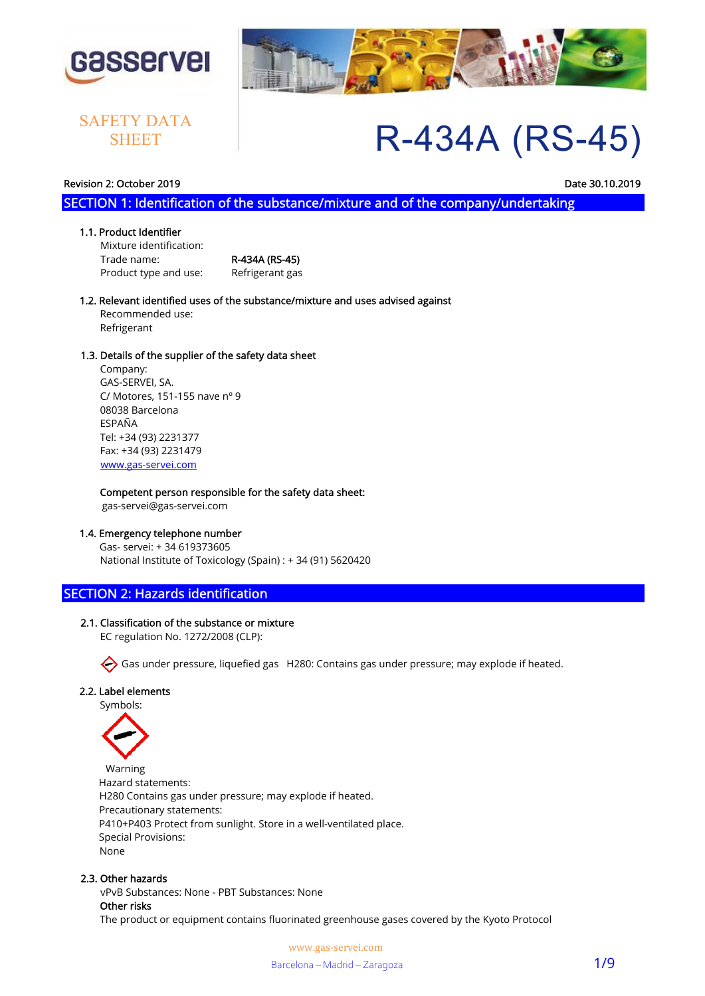

# **SHEET**



# R-434A (RS-45) SAFETY DATA

#### Revision 2: October 2019 Date 30.10.2019

SECTION 1: Identification of the substance/mixture and of the company/undertaking

#### 1.1. Product Identifier

 Mixture identification: Trade name: R-434A (RS-45) Product type and use: Refrigerant gas

#### 1.2. Relevant identified uses of the substance/mixture and uses advised against Recommended use: Refrigerant

#### 1.3. Details of the supplier of the safety data sheet

 Company: GAS-SERVEI, SA. C/ Motores, 151-155 nave nº 9 08038 Barcelona ESPAÑA Tel: +34 (93) 2231377 Fax: +34 (93) 2231479 www.gas-servei.com

#### Competent person responsible for the safety data sheet:

gas-servei@gas-servei.com

#### 1.4. Emergency telephone number

 Gas- servei: + 34 619373605 National Institute of Toxicology (Spain) : + 34 (91) 5620420

# SECTION 2: Hazards identification

#### 2.1. Classification of the substance or mixture

EC regulation No. 1272/2008 (CLP):

Gas under pressure, liquefied gas H280: Contains gas under pressure; may explode if heated.

#### 2.2. Label elements

Symbols:



 Warning Hazard statements: H280 Contains gas under pressure; may explode if heated. Precautionary statements: P410+P403 Protect from sunlight. Store in a well-ventilated place. Special Provisions: None

#### 2.3. Other hazards

 vPvB Substances: None - PBT Substances: None Other risks The product or equipment contains fluorinated greenhouse gases covered by the Kyoto Protocol

> www.gas-servei.com Barcelona – Madrid – Zaragoza 1/9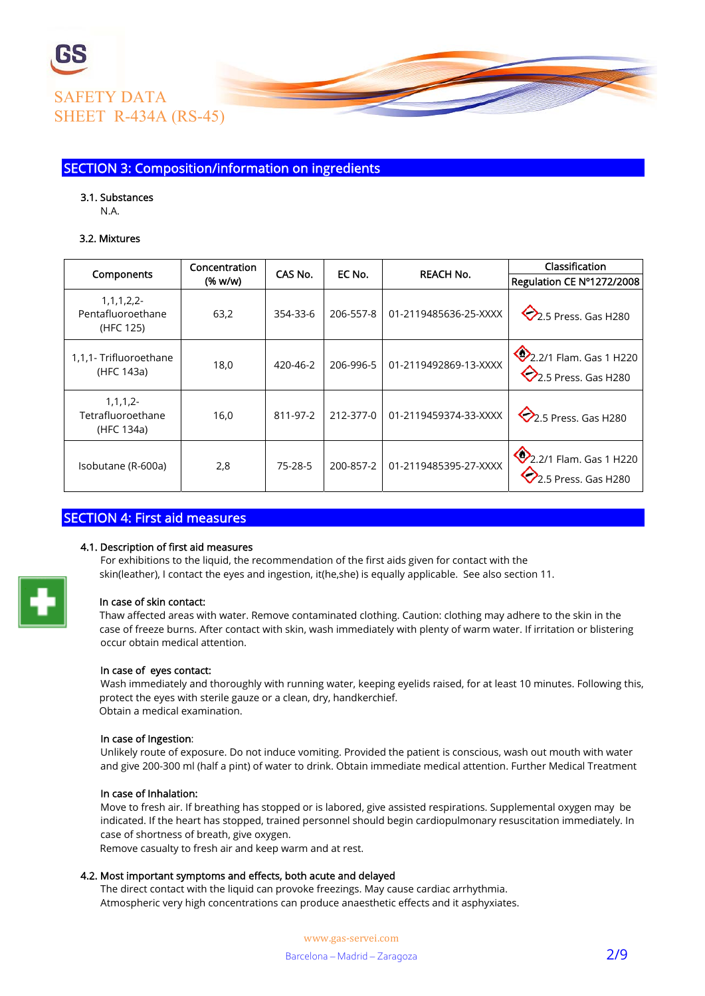

# SECTION 3: Composition/information on ingredients

#### 3.1. Substances

N.A.

#### 3.2. Mixtures

|                                                   | Concentration | CAS No.  | EC No.    | <b>REACH No.</b>      | Classification                                             |  |
|---------------------------------------------------|---------------|----------|-----------|-----------------------|------------------------------------------------------------|--|
| Components                                        | (% w/w)       |          |           |                       | Regulation CE Nº1272/2008                                  |  |
| 1, 1, 1, 2, 2<br>Pentafluoroethane<br>(HFC 125)   | 63,2          | 354-33-6 | 206-557-8 | 01-2119485636-25-XXXX | $\bigotimes$ 2.5 Press. Gas H280                           |  |
| 1,1,1- Trifluoroethane<br>(HFC 143a)              | 18,0          | 420-46-2 | 206-996-5 | 01-2119492869-13-XXXX | 2.2/1 Flam. Gas 1 H220<br>$\heartsuit$ 2.5 Press. Gas H280 |  |
| $1, 1, 1, 2 -$<br>Tetrafluoroethane<br>(HFC 134a) | 16,0          | 811-97-2 | 212-377-0 | 01-2119459374-33-XXXX | $\bigotimes$ 2.5 Press. Gas H280                           |  |
| Isobutane (R-600a)                                | 2,8           | 75-28-5  | 200-857-2 | 01-2119485395-27-XXXX | 2.2/1 Flam. Gas 1 H220<br>$\overline{2.5}$ Press. Gas H280 |  |

# SECTION 4: First aid measures

#### 4.1. Description of first aid measures

 For exhibitions to the liquid, the recommendation of the first aids given for contact with the skin(leather), I contact the eyes and ingestion, it(he,she) is equally applicable. See also section 11.



#### In case of skin contact:

 Thaw affected areas with water. Remove contaminated clothing. Caution: clothing may adhere to the skin in the case of freeze burns. After contact with skin, wash immediately with plenty of warm water. If irritation or blistering occur obtain medical attention.

#### In case of eyes contact:

 Wash immediately and thoroughly with running water, keeping eyelids raised, for at least 10 minutes. Following this, protect the eyes with sterile gauze or a clean, dry, handkerchief. Obtain a medical examination.

#### In case of Ingestion:

 Unlikely route of exposure. Do not induce vomiting. Provided the patient is conscious, wash out mouth with water and give 200-300 ml (half a pint) of water to drink. Obtain immediate medical attention. Further Medical Treatment

#### In case of Inhalation:

 Move to fresh air. If breathing has stopped or is labored, give assisted respirations. Supplemental oxygen may be indicated. If the heart has stopped, trained personnel should begin cardiopulmonary resuscitation immediately. In case of shortness of breath, give oxygen.

Remove casualty to fresh air and keep warm and at rest.

#### 4.2. Most important symptoms and effects, both acute and delayed

 The direct contact with the liquid can provoke freezings. May cause cardiac arrhythmia. Atmospheric very high concentrations can produce anaesthetic effects and it asphyxiates.

> www.gas-servei.com Barcelona – Madrid – Zaragoza 2/9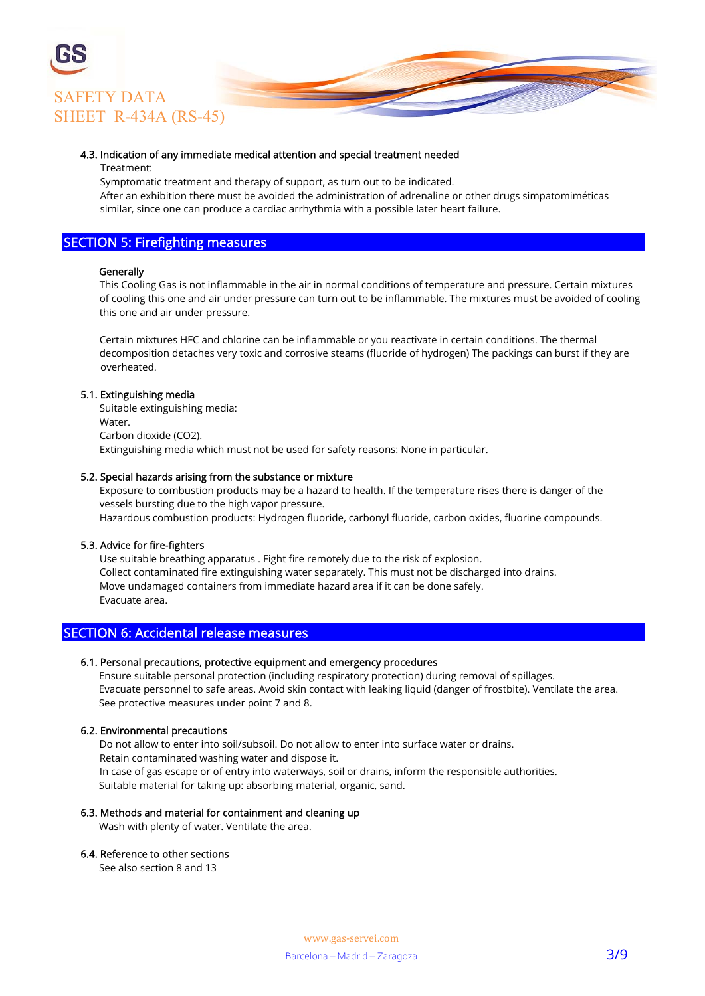

#### 4.3. Indication of any immediate medical attention and special treatment needed

#### Treatment:

Symptomatic treatment and therapy of support, as turn out to be indicated.

 After an exhibition there must be avoided the administration of adrenaline or other drugs simpatomiméticas similar, since one can produce a cardiac arrhythmia with a possible later heart failure.

### SECTION 5: Firefighting measures

#### **Generally**

 This Cooling Gas is not inflammable in the air in normal conditions of temperature and pressure. Certain mixtures of cooling this one and air under pressure can turn out to be inflammable. The mixtures must be avoided of cooling this one and air under pressure.

 Certain mixtures HFC and chlorine can be inflammable or you reactivate in certain conditions. The thermal decomposition detaches very toxic and corrosive steams (fluoride of hydrogen) The packings can burst if they are overheated.

#### 5.1. Extinguishing media

 Suitable extinguishing media: **Water**  Carbon dioxide (CO2). Extinguishing media which must not be used for safety reasons: None in particular.

#### 5.2. Special hazards arising from the substance or mixture

 Exposure to combustion products may be a hazard to health. If the temperature rises there is danger of the vessels bursting due to the high vapor pressure. Hazardous combustion products: Hydrogen fluoride, carbonyl fluoride, carbon oxides, fluorine compounds.

#### 5.3. Advice for fire-fighters

 Use suitable breathing apparatus . Fight fire remotely due to the risk of explosion. Collect contaminated fire extinguishing water separately. This must not be discharged into drains. Move undamaged containers from immediate hazard area if it can be done safely. Evacuate area.

#### SECTION 6: Accidental release measures

#### 6.1. Personal precautions, protective equipment and emergency procedures

 Ensure suitable personal protection (including respiratory protection) during removal of spillages. Evacuate personnel to safe areas. Avoid skin contact with leaking liquid (danger of frostbite). Ventilate the area. See protective measures under point 7 and 8.

#### 6.2. Environmental precautions

 Do not allow to enter into soil/subsoil. Do not allow to enter into surface water or drains. Retain contaminated washing water and dispose it. In case of gas escape or of entry into waterways, soil or drains, inform the responsible authorities. Suitable material for taking up: absorbing material, organic, sand.

#### 6.3. Methods and material for containment and cleaning up

Wash with plenty of water. Ventilate the area.

#### 6.4. Reference to other sections

See also section 8 and 13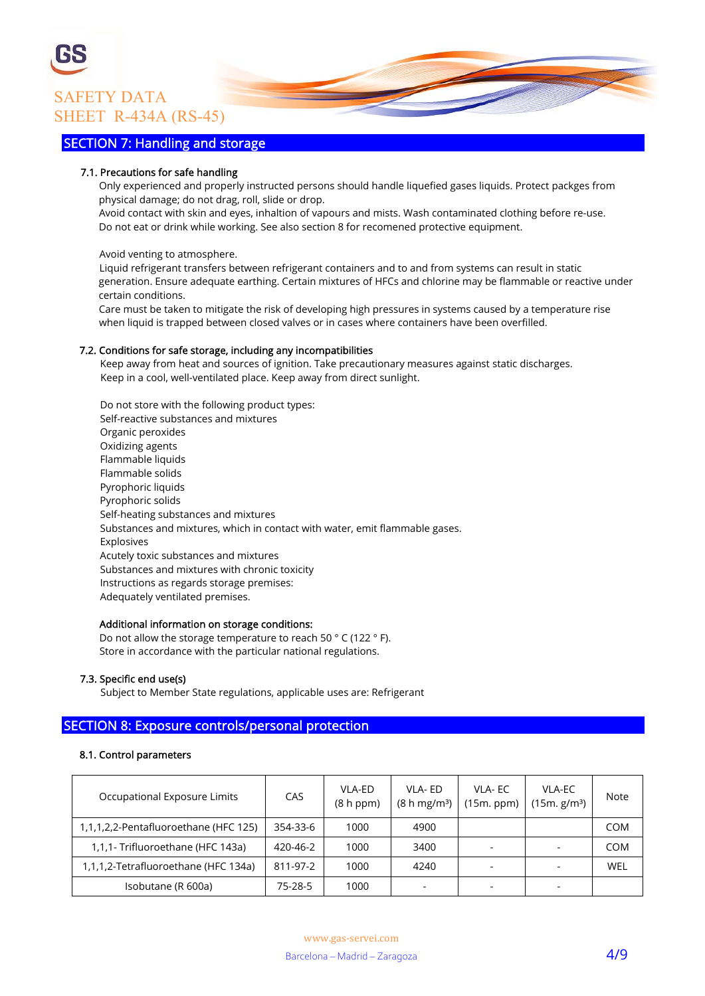

# SECTION 7: Handling and storage

#### 7.1. Precautions for safe handling

 Only experienced and properly instructed persons should handle liquefied gases liquids. Protect packges from physical damage; do not drag, roll, slide or drop.

 Avoid contact with skin and eyes, inhaltion of vapours and mists. Wash contaminated clothing before re-use. Do not eat or drink while working. See also section 8 for recomened protective equipment.

Avoid venting to atmosphere.

 Liquid refrigerant transfers between refrigerant containers and to and from systems can result in static generation. Ensure adequate earthing. Certain mixtures of HFCs and chlorine may be flammable or reactive under certain conditions.

 Care must be taken to mitigate the risk of developing high pressures in systems caused by a temperature rise when liquid is trapped between closed valves or in cases where containers have been overfilled.

#### 7.2. Conditions for safe storage, including any incompatibilities

 Keep away from heat and sources of ignition. Take precautionary measures against static discharges. Keep in a cool, well-ventilated place. Keep away from direct sunlight.

 Do not store with the following product types: Self-reactive substances and mixtures Organic peroxides Oxidizing agents Flammable liquids Flammable solids Pyrophoric liquids Pyrophoric solids Self-heating substances and mixtures Substances and mixtures, which in contact with water, emit flammable gases. Explosives Acutely toxic substances and mixtures Substances and mixtures with chronic toxicity Instructions as regards storage premises: Adequately ventilated premises.

#### Additional information on storage conditions:

 Do not allow the storage temperature to reach 50 ° C (122 ° F). Store in accordance with the particular national regulations.

#### 7.3. Specific end use(s)

Subject to Member State regulations, applicable uses are: Refrigerant

# SECTION 8: Exposure controls/personal protection

#### 8.1. Control parameters

| Occupational Exposure Limits          | CAS      | VLA-ED<br>(8 h ppm) | VLA-ED<br>(8 h mg/m <sup>3</sup> ) | VLA-EC<br>(15m. ppm) | VLA-EC<br>(15m, g/m <sup>3</sup> ) | Note       |
|---------------------------------------|----------|---------------------|------------------------------------|----------------------|------------------------------------|------------|
| 1,1,1,2,2-Pentafluoroethane (HFC 125) | 354-33-6 | 1000                | 4900                               |                      |                                    | <b>COM</b> |
| 1,1,1- Trifluoroethane (HFC 143a)     | 420-46-2 | 1000                | 3400                               |                      |                                    | <b>COM</b> |
| 1,1,1,2-Tetrafluoroethane (HFC 134a)  | 811-97-2 | 1000                | 4240                               |                      |                                    | WEL        |
| Isobutane (R 600a)                    | 75-28-5  | 1000                |                                    |                      |                                    |            |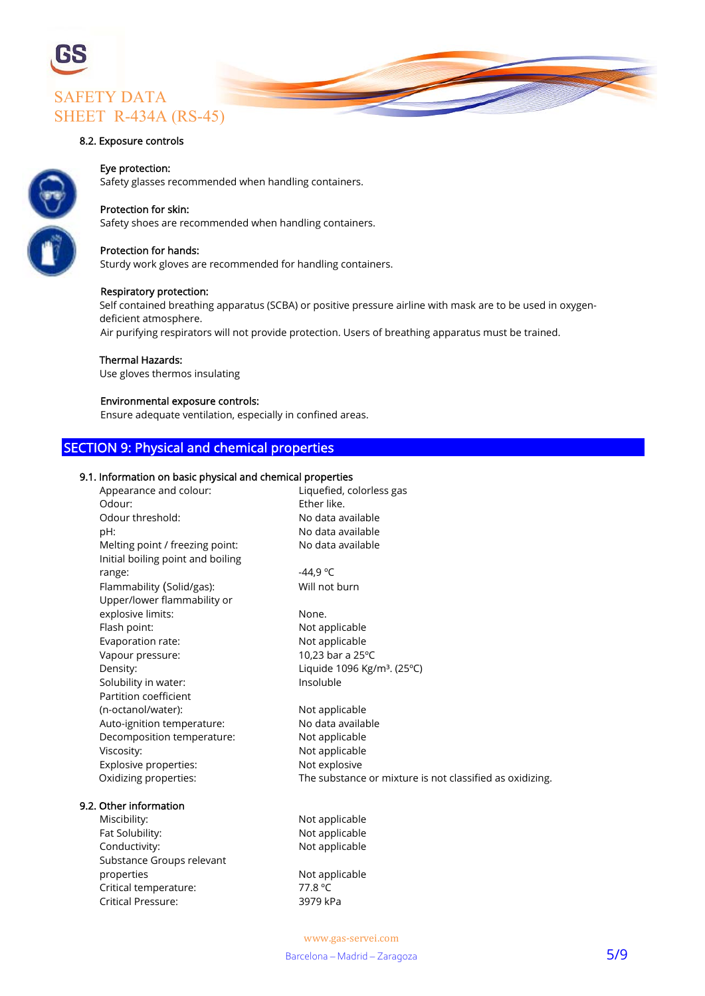

#### 8.2. Exposure controls

#### Eye protection:

Safety glasses recommended when handling containers.

#### Protection for skin:

Safety shoes are recommended when handling containers.

#### Protection for hands:

Sturdy work gloves are recommended for handling containers.

#### Respiratory protection:

 Self contained breathing apparatus (SCBA) or positive pressure airline with mask are to be used in oxygen deficient atmosphere.

Air purifying respirators will not provide protection. Users of breathing apparatus must be trained.

#### Thermal Hazards:

Use gloves thermos insulating

#### Environmental exposure controls:

Ensure adequate ventilation, especially in confined areas.

## SECTION 9: Physical and chemical properties

#### 9.1. Information on basic physical and chemical properties

| Appearance and colour:            | Liquefied, colorless gas                                 |
|-----------------------------------|----------------------------------------------------------|
| Odour:                            | Ether like.                                              |
| Odour threshold:                  | No data available                                        |
| pH:                               | No data available                                        |
| Melting point / freezing point:   | No data available                                        |
| Initial boiling point and boiling |                                                          |
| range:                            | $-44,9 °C$                                               |
| Flammability (Solid/gas):         | Will not burn                                            |
| Upper/lower flammability or       |                                                          |
| explosive limits:                 | None.                                                    |
| Flash point:                      | Not applicable                                           |
| Evaporation rate:                 | Not applicable                                           |
| Vapour pressure:                  | 10,23 bar a 25°C                                         |
| Density:                          | Liquide 1096 Kg/m <sup>3</sup> . (25°C)                  |
| Solubility in water:              | Insoluble                                                |
| Partition coefficient             |                                                          |
| (n-octanol/water):                | Not applicable                                           |
| Auto-ignition temperature:        | No data available                                        |
| Decomposition temperature:        | Not applicable                                           |
| Viscosity:                        | Not applicable                                           |
| Explosive properties:             | Not explosive                                            |
| Oxidizing properties:             | The substance or mixture is not classified as oxidizing. |
| 9.2. Other information            |                                                          |
| Miscibility:                      | Not applicable                                           |
| Fat Solubility:                   | Not applicable                                           |
| Conductivity:                     | Not applicable                                           |
| Substance Groups relevant         |                                                          |
| properties                        | Not applicable                                           |
| Critical temperature:             | 77.8 °C                                                  |
| <b>Critical Pressure:</b>         | 3979 kPa                                                 |
|                                   |                                                          |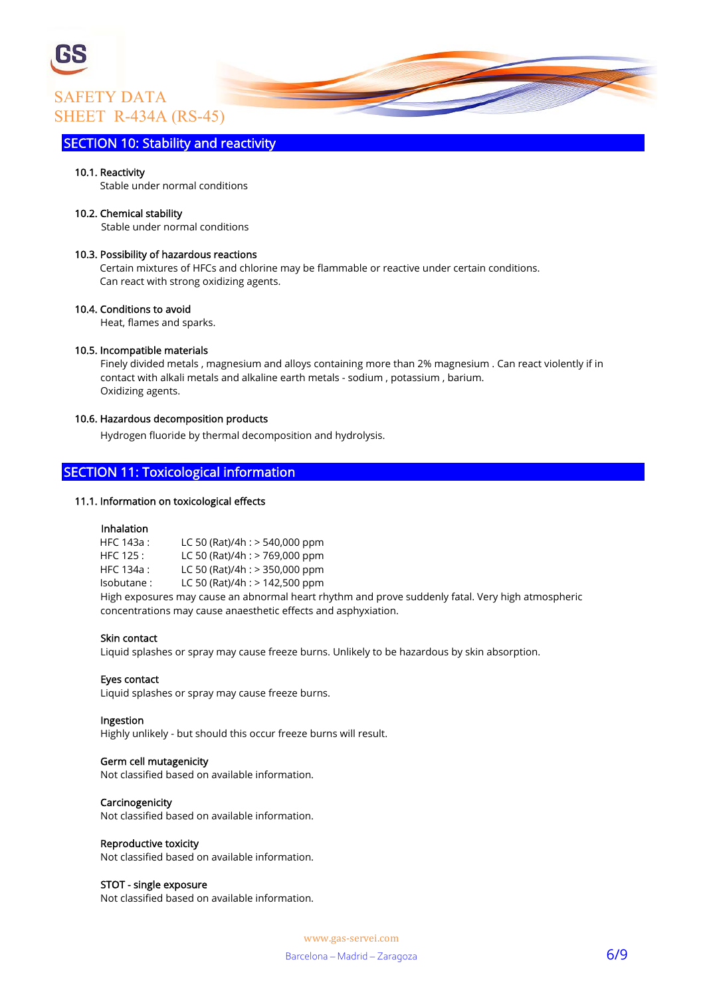# SAFETY DATA SHEET R-434A (RS-45)

## SECTION 10: Stability and reactivity

#### 10.1. Reactivity

Stable under normal conditions

#### 10.2. Chemical stability

Stable under normal conditions

#### 10.3. Possibility of hazardous reactions

 Certain mixtures of HFCs and chlorine may be flammable or reactive under certain conditions. Can react with strong oxidizing agents.

#### 10.4. Conditions to avoid

Heat, flames and sparks.

#### 10.5. Incompatible materials

 Finely divided metals , magnesium and alloys containing more than 2% magnesium . Can react violently if in contact with alkali metals and alkaline earth metals - sodium , potassium , barium. Oxidizing agents.

#### 10.6. Hazardous decomposition products

Hydrogen fluoride by thermal decomposition and hydrolysis.

# SECTION 11: Toxicological information

#### 11.1. Information on toxicological effects

#### Inhalation

 HFC 143a : LC 50 (Rat)/4h : > 540,000 ppm HFC 125 : LC 50 (Rat)/4h : > 769,000 ppm HFC 134a : LC 50 (Rat)/4h : > 350,000 ppm Isobutane : LC 50 (Rat)/4h : > 142,500 ppm High exposures may cause an abnormal heart rhythm and prove suddenly fatal. Very high atmospheric concentrations may cause anaesthetic effects and asphyxiation.

#### Skin contact

Liquid splashes or spray may cause freeze burns. Unlikely to be hazardous by skin absorption.

#### Eyes contact

Liquid splashes or spray may cause freeze burns.

#### Ingestion

Highly unlikely - but should this occur freeze burns will result.

#### Germ cell mutagenicity

Not classified based on available information.

#### Carcinogenicity

Not classified based on available information.

#### Reproductive toxicity

Not classified based on available information.

#### STOT - single exposure

Not classified based on available information.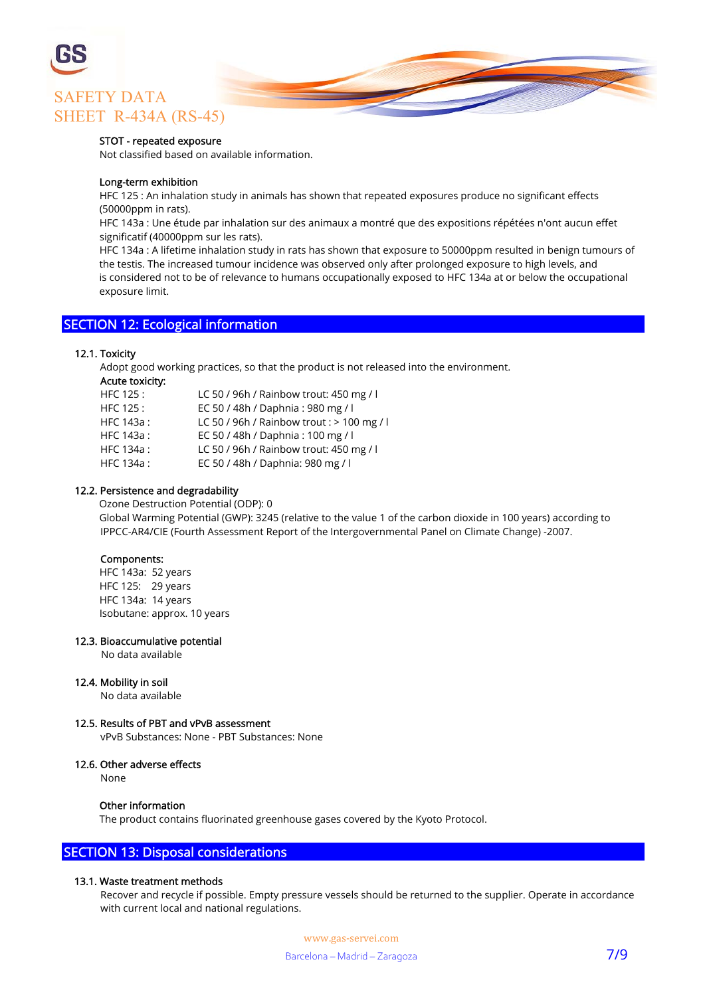

#### STOT - repeated exposure

Not classified based on available information.

#### Long-term exhibition

 HFC 125 : An inhalation study in animals has shown that repeated exposures produce no significant effects (50000ppm in rats).

 HFC 143a : Une étude par inhalation sur des animaux a montré que des expositions répétées n'ont aucun effet significatif (40000ppm sur les rats).

 HFC 134a : A lifetime inhalation study in rats has shown that exposure to 50000ppm resulted in benign tumours of the testis. The increased tumour incidence was observed only after prolonged exposure to high levels, and is considered not to be of relevance to humans occupationally exposed to HFC 134a at or below the occupational exposure limit.

# SECTION 12: Ecological information

#### 12.1. Toxicity

Adopt good working practices, so that the product is not released into the environment.

#### Acute toxicity:

| HFC 125 :  | LC 50 / 96h / Rainbow trout: 450 mg / l      |
|------------|----------------------------------------------|
| HFC 125:   | EC 50 / 48h / Daphnia: 980 mg / l            |
| HFC 143a:  | LC 50 / 96h / Rainbow trout : $>$ 100 mg / l |
| HFC 143a : | EC 50 / 48h / Daphnia: 100 mg / l            |
| HFC 134a : | LC 50 / 96h / Rainbow trout: 450 mg / l      |
| HFC 134a:  | EC 50 / 48h / Daphnia: 980 mg / l            |
|            |                                              |

#### 12.2. Persistence and degradability

 Ozone Destruction Potential (ODP): 0 Global Warming Potential (GWP): 3245 (relative to the value 1 of the carbon dioxide in 100 years) according to IPPCC-AR4/CIE (Fourth Assessment Report of the Intergovernmental Panel on Climate Change) -2007.

#### Components:

 HFC 143a: 52 years HFC 125: 29 years HFC 134a: 14 years Isobutane: approx. 10 years

#### 12.3. Bioaccumulative potential

No data available

#### 12.4. Mobility in soil

No data available

#### 12.5. Results of PBT and vPvB assessment

vPvB Substances: None - PBT Substances: None

#### 12.6. Other adverse effects

None

#### Other information

The product contains fluorinated greenhouse gases covered by the Kyoto Protocol.

# SECTION 13: Disposal considerations

#### 13.1. Waste treatment methods

 Recover and recycle if possible. Empty pressure vessels should be returned to the supplier. Operate in accordance with current local and national regulations.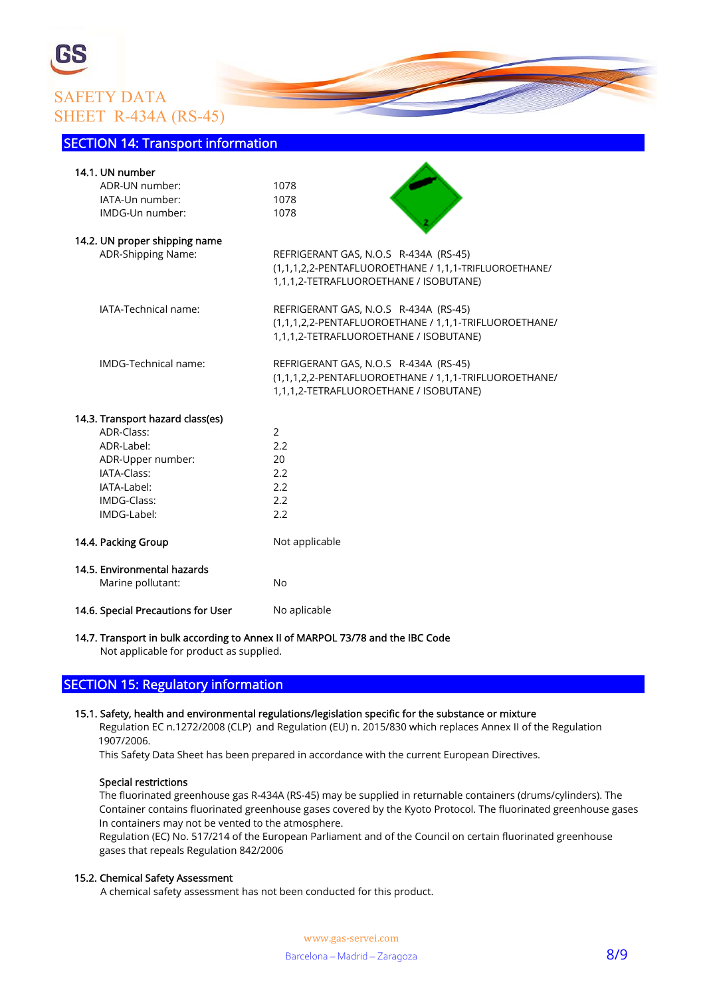# SAFETY DATA SHEET R-434A (RS-45)

#### SECTION 14: Transport information

| 14.1. UN number                    |                                                       |
|------------------------------------|-------------------------------------------------------|
| ADR-UN number:                     | 1078                                                  |
| IATA-Un number:                    | 1078                                                  |
| IMDG-Un number:                    | 1078                                                  |
| 14.2. UN proper shipping name      |                                                       |
| ADR-Shipping Name:                 | REFRIGERANT GAS, N.O.S R-434A (RS-45)                 |
|                                    | (1,1,1,2,2-PENTAFLUOROETHANE / 1,1,1-TRIFLUOROETHANE/ |
|                                    | 1,1,1,2-TETRAFLUOROETHANE / ISOBUTANE)                |
| IATA-Technical name:               | REFRIGERANT GAS, N.O.S R-434A (RS-45)                 |
|                                    | (1,1,1,2,2-PENTAFLUOROETHANE / 1,1,1-TRIFLUOROETHANE/ |
|                                    | 1,1,1,2-TETRAFLUOROETHANE / ISOBUTANE)                |
| IMDG-Technical name:               | REFRIGERANT GAS, N.O.S R-434A (RS-45)                 |
|                                    | (1,1,1,2,2-PENTAFLUOROETHANE / 1,1,1-TRIFLUOROETHANE/ |
|                                    | 1,1,1,2-TETRAFLUOROETHANE / ISOBUTANE)                |
| 14.3. Transport hazard class(es)   |                                                       |
| ADR-Class:                         | $\overline{2}$                                        |
| ADR-Label:                         | 2.2                                                   |
| ADR-Upper number:                  | 20                                                    |
| IATA-Class:                        | 2.2                                                   |
| IATA-Label:                        | 2.2                                                   |
| IMDG-Class:                        | 2.2                                                   |
| IMDG-Label:                        | 2.2                                                   |
| 14.4. Packing Group                | Not applicable                                        |
| 14.5. Environmental hazards        |                                                       |
| Marine pollutant:                  | <b>No</b>                                             |
| 14.6. Special Precautions for User | No aplicable                                          |

#### 14.7. Transport in bulk according to Annex II of MARPOL 73/78 and the IBC Code Not applicable for product as supplied.

# SECTION 15: Regulatory information

#### 15.1. Safety, health and environmental regulations/legislation specific for the substance or mixture

 Regulation EC n.1272/2008 (CLP) and Regulation (EU) n. 2015/830 which replaces Annex II of the Regulation 1907/2006.

This Safety Data Sheet has been prepared in accordance with the current European Directives.

#### Special restrictions

 The fluorinated greenhouse gas R-434A (RS-45) may be supplied in returnable containers (drums/cylinders). The Container contains fluorinated greenhouse gases covered by the Kyoto Protocol. The fluorinated greenhouse gases In containers may not be vented to the atmosphere.

 Regulation (EC) No. 517/214 of the European Parliament and of the Council on certain fluorinated greenhouse gases that repeals Regulation 842/2006

#### 15.2. Chemical Safety Assessment

A chemical safety assessment has not been conducted for this product.